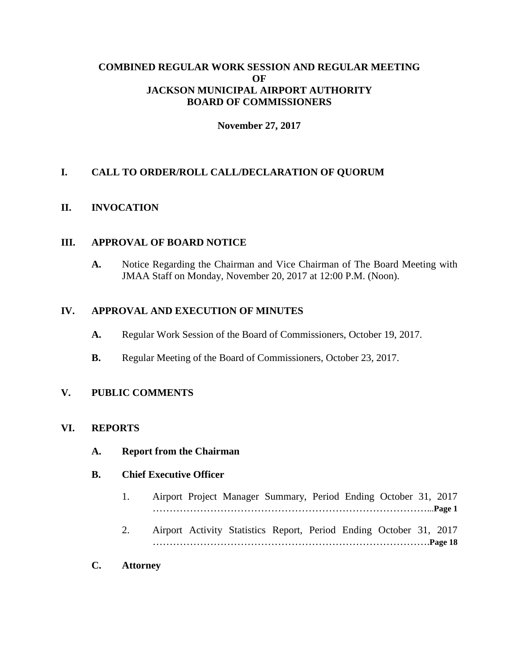### **COMBINED REGULAR WORK SESSION AND REGULAR MEETING OF JACKSON MUNICIPAL AIRPORT AUTHORITY BOARD OF COMMISSIONERS**

### **November 27, 2017**

# **I. CALL TO ORDER/ROLL CALL/DECLARATION OF QUORUM**

# **II. INVOCATION**

### **III. APPROVAL OF BOARD NOTICE**

**A.** Notice Regarding the Chairman and Vice Chairman of The Board Meeting with JMAA Staff on Monday, November 20, 2017 at 12:00 P.M. (Noon).

#### **IV. APPROVAL AND EXECUTION OF MINUTES**

- **A.** Regular Work Session of the Board of Commissioners, October 19, 2017.
- **B.** Regular Meeting of the Board of Commissioners, October 23, 2017.

### **V. PUBLIC COMMENTS**

### **VI. REPORTS**

**A. Report from the Chairman**

### **B. Chief Executive Officer**

- 1. Airport Project Manager Summary, Period Ending October 31, 2017 ………………………………………………………………………...**Page 1**
- 2. Airport Activity Statistics Report, Period Ending October 31, 2017 ……………………………………………………………………….**Page 18**
- **C. Attorney**